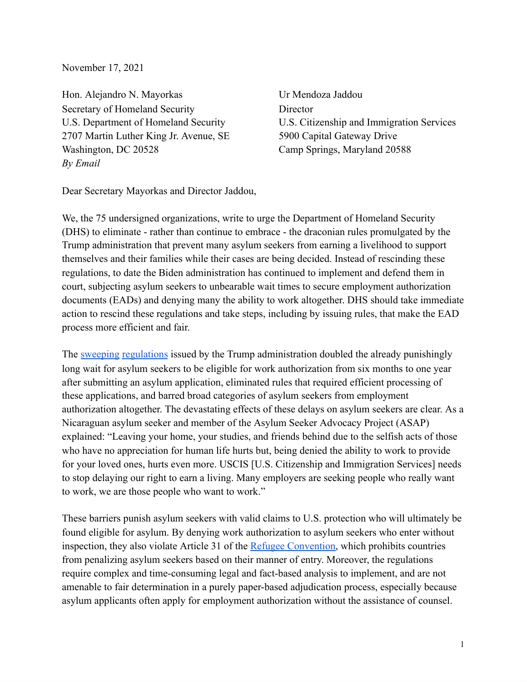November 17, 2021

Hon. Alejandro N. Mayorkas Ur Mendoza Jaddou Secretary of Homeland Security Director 2707 Martin Luther King Jr. Avenue, SE 5900 Capital Gateway Drive Washington, DC 20528 Camp Springs, Maryland 20588 *By Email*

U.S. Department of Homeland Security U.S. Citizenship and Immigration Services

Dear Secretary Mayorkas and Director Jaddou,

We, the 75 undersigned organizations, write to urge the Department of Homeland Security (DHS) to eliminate - rather than continue to embrace - the draconian rules promulgated by the Trump administration that prevent many asylum seekers from earning a livelihood to support themselves and their families while their cases are being decided. Instead of rescinding these regulations, to date the Biden administration has continued to implement and defend them in court, subjecting asylum seekers to unbearable wait times to secure employment authorization documents (EADs) and denying many the ability to work altogether. DHS should take immediate action to rescind these regulations and take steps, including by issuing rules, that make the EAD process more efficient and fair.

The [sweeping](https://www.federalregister.gov/documents/2020/06/26/2020-13544/asylum-application-interview-and-employment-authorization-for-applicants) [regulations](https://www.federalregister.gov/documents/2020/06/22/2020-13391/removal-of-30-day-processing-provision-for-asylum-applicant-related-form-i-765-employment) issued by the Trump administration doubled the already punishingly long wait for asylum seekers to be eligible for work authorization from six months to one year after submitting an asylum application, eliminated rules that required efficient processing of these applications, and barred broad categories of asylum seekers from employment authorization altogether. The devastating effects of these delays on asylum seekers are clear. As a Nicaraguan asylum seeker and member of the Asylum Seeker Advocacy Project (ASAP) explained: "Leaving your home, your studies, and friends behind due to the selfish acts of those who have no appreciation for human life hurts but, being denied the ability to work to provide for your loved ones, hurts even more. USCIS [U.S. Citizenship and Immigration Services] needs to stop delaying our right to earn a living. Many employers are seeking people who really want to work, we are those people who want to work."

These barriers punish asylum seekers with valid claims to U.S. protection who will ultimately be found eligible for asylum. By denying work authorization to asylum seekers who enter without inspection, they also violate Article 31 of the Refugee [Convention,](https://www.unhcr.org/en-us/3b66c2aa10) which prohibits countries from penalizing asylum seekers based on their manner of entry. Moreover, the regulations require complex and time-consuming legal and fact-based analysis to implement, and are not amenable to fair determination in a purely paper-based adjudication process, especially because asylum applicants often apply for employment authorization without the assistance of counsel.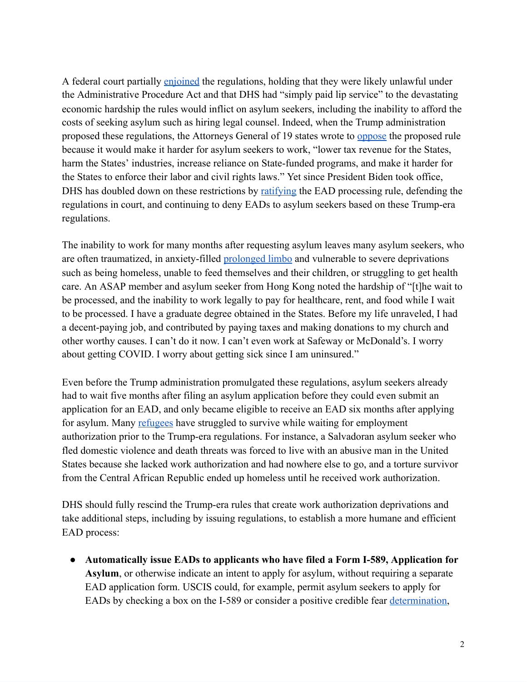A federal court partially [enjoined](https://asylumadvocacy.org/wp-content/uploads/2020/09/Casa-de-Maryland-v-Wolf-Memorandum-Opinion-on-PI.pdf) the regulations, holding that they were likely unlawful under the Administrative Procedure Act and that DHS had "simply paid lip service" to the devastating economic hardship the rules would inflict on asylum seekers, including the inability to afford the costs of seeking asylum such as hiring legal counsel. Indeed, when the Trump administration proposed these regulations, the Attorneys General of 19 states wrote to [oppose](https://www.nj.gov/oag/newsreleases19/2019.11.08-EAD-Comment_States-AG_Final.pdf) the proposed rule because it would make it harder for asylum seekers to work, "lower tax revenue for the States, harm the States' industries, increase reliance on State-funded programs, and make it harder for the States to enforce their labor and civil rights laws." Yet since President Biden took office, DHS has doubled down on these restrictions by [ratifying](https://www.dhs.gov/news/2021/05/07/dhs-ratifies-rule-removes-30-day-ead-processing-requirement) the EAD processing rule, defending the regulations in court, and continuing to deny EADs to asylum seekers based on these Trump-era regulations.

The inability to work for many months after requesting asylum leaves many asylum seekers, who are often traumatized, in anxiety-filled **[prolonged](https://www.thenation.com/article/politics/asylum-regulation/)** limbo and vulnerable to severe deprivations such as being homeless, unable to feed themselves and their children, or struggling to get health care. An ASAP member and asylum seeker from Hong Kong noted the hardship of "[t]he wait to be processed, and the inability to work legally to pay for healthcare, rent, and food while I wait to be processed. I have a graduate degree obtained in the States. Before my life unraveled, I had a decent-paying job, and contributed by paying taxes and making donations to my church and other worthy causes. I can't do it now. I can't even work at Safeway or McDonald's. I worry about getting COVID. I worry about getting sick since I am uninsured."

Even before the Trump administration promulgated these regulations, asylum seekers already had to wait five months after filing an asylum application before they could even submit an application for an EAD, and only became eligible to receive an EAD six months after applying for asylum. Many [refugees](https://www.humanrightsfirst.org/sites/default/files/Work_Authorization.pdf) have struggled to survive while waiting for employment authorization prior to the Trump-era regulations. For instance, a Salvadoran asylum seeker who fled domestic violence and death threats was forced to live with an abusive man in the United States because she lacked work authorization and had nowhere else to go, and a torture survivor from the Central African Republic ended up homeless until he received work authorization.

DHS should fully rescind the Trump-era rules that create work authorization deprivations and take additional steps, including by issuing regulations, to establish a more humane and efficient EAD process:

● **Automatically issue EADs to applicants who have filed a Form I-589, Application for Asylum**, or otherwise indicate an intent to apply for asylum, without requiring a separate EAD application form. USCIS could, for example, permit asylum seekers to apply for EADs by checking a box on the I-589 or consider a positive credible fear [determination,](https://www.federalregister.gov/documents/2021/08/20/2021-17779/procedures-for-credible-fear-screening-and-consideration-of-asylum-withholding-of-removal-and-cat)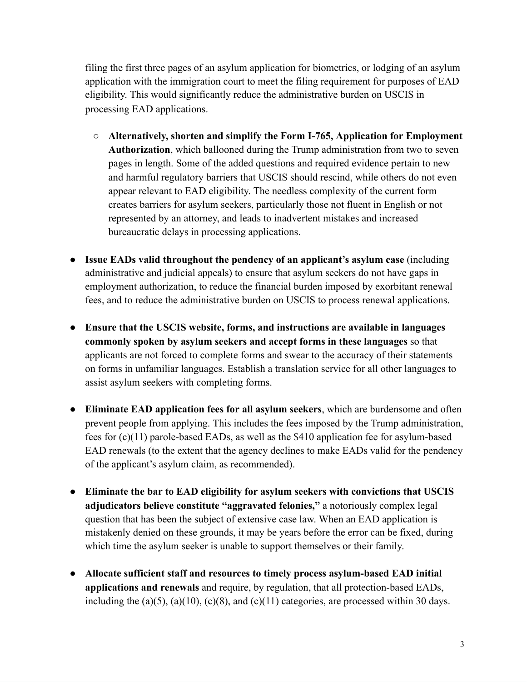filing the first three pages of an asylum application for biometrics, or lodging of an asylum application with the immigration court to meet the filing requirement for purposes of EAD eligibility. This would significantly reduce the administrative burden on USCIS in processing EAD applications.

- **Alternatively, shorten and simplify the Form I-765, Application for Employment Authorization**, which ballooned during the Trump administration from two to seven pages in length. Some of the added questions and required evidence pertain to new and harmful regulatory barriers that USCIS should rescind, while others do not even appear relevant to EAD eligibility. The needless complexity of the current form creates barriers for asylum seekers, particularly those not fluent in English or not represented by an attorney, and leads to inadvertent mistakes and increased bureaucratic delays in processing applications.
- **Issue EADs valid throughout the pendency of an applicant's asylum case** (including administrative and judicial appeals) to ensure that asylum seekers do not have gaps in employment authorization, to reduce the financial burden imposed by exorbitant renewal fees, and to reduce the administrative burden on USCIS to process renewal applications.
- **Ensure that the USCIS website, forms, and instructions are available in languages commonly spoken by asylum seekers and accept forms in these languages** so that applicants are not forced to complete forms and swear to the accuracy of their statements on forms in unfamiliar languages. Establish a translation service for all other languages to assist asylum seekers with completing forms.
- **Eliminate EAD application fees for all asylum seekers**, which are burdensome and often prevent people from applying. This includes the fees imposed by the Trump administration, fees for (c)(11) parole-based EADs, as well as the \$410 application fee for asylum-based EAD renewals (to the extent that the agency declines to make EADs valid for the pendency of the applicant's asylum claim, as recommended).
- **Eliminate the bar to EAD eligibility for asylum seekers with convictions that USCIS adjudicators believe constitute "aggravated felonies,"** a notoriously complex legal question that has been the subject of extensive case law. When an EAD application is mistakenly denied on these grounds, it may be years before the error can be fixed, during which time the asylum seeker is unable to support themselves or their family.
- **Allocate sufficient staff and resources to timely process asylum-based EAD initial applications and renewals** and require, by regulation, that all protection-based EADs, including the (a)(5), (a)(10), (c)(8), and (c)(11) categories, are processed within 30 days.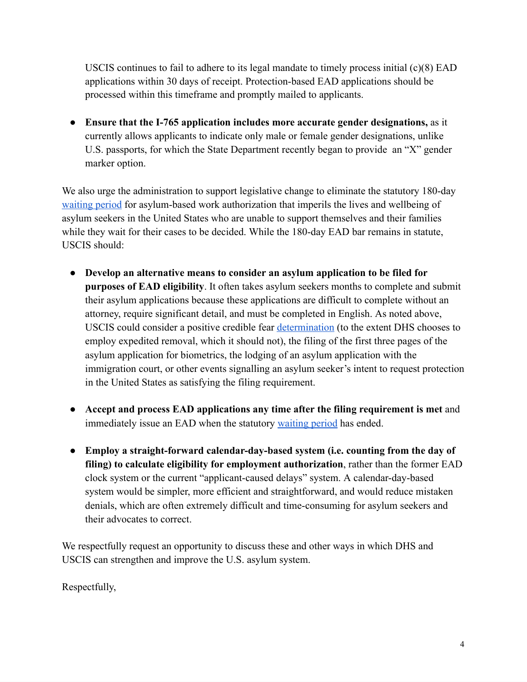USCIS continues to fail to adhere to its legal mandate to timely process initial (c)(8) EAD applications within 30 days of receipt. Protection-based EAD applications should be processed within this timeframe and promptly mailed to applicants.

● **Ensure that the I-765 application includes more accurate gender designations,** as it currently allows applicants to indicate only male or female gender designations, unlike U.S. passports, for which the State Department recently began to provide an "X" gender marker option.

We also urge the administration to support legislative change to eliminate the statutory 180-day [waiting](https://uscode.house.gov/view.xhtml?req=granuleid%3AUSC-prelim-title8-section1158&num=0&edition=prelim) period for asylum-based work authorization that imperils the lives and wellbeing of asylum seekers in the United States who are unable to support themselves and their families while they wait for their cases to be decided. While the 180-day EAD bar remains in statute, USCIS should:

- **Develop an alternative means to consider an asylum application to be filed for purposes of EAD eligibility**. It often takes asylum seekers months to complete and submit their asylum applications because these applications are difficult to complete without an attorney, require significant detail, and must be completed in English. As noted above, USCIS could consider a positive credible fear [determination](https://www.federalregister.gov/documents/2021/08/20/2021-17779/procedures-for-credible-fear-screening-and-consideration-of-asylum-withholding-of-removal-and-cat) (to the extent DHS chooses to employ expedited removal, which it should not), the filing of the first three pages of the asylum application for biometrics, the lodging of an asylum application with the immigration court, or other events signalling an asylum seeker's intent to request protection in the United States as satisfying the filing requirement.
- **Accept and process EAD applications any time after the filing requirement is met** and immediately issue an EAD when the statutory [waiting](https://uscode.house.gov/view.xhtml?req=granuleid%3AUSC-prelim-title8-section1158&num=0&edition=prelim) period has ended.
- **Employ a straight-forward calendar-day-based system (i.e. counting from the day of filing) to calculate eligibility for employment authorization**, rather than the former EAD clock system or the current "applicant-caused delays" system. A calendar-day-based system would be simpler, more efficient and straightforward, and would reduce mistaken denials, which are often extremely difficult and time-consuming for asylum seekers and their advocates to correct.

We respectfully request an opportunity to discuss these and other ways in which DHS and USCIS can strengthen and improve the U.S. asylum system.

Respectfully,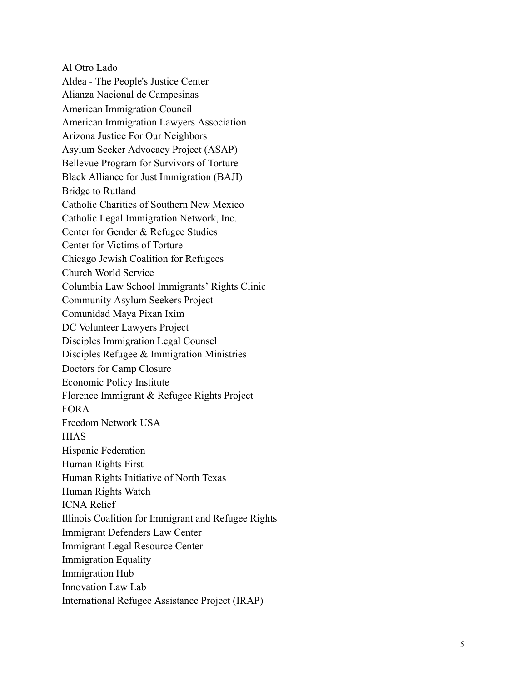Al Otro Lado Aldea - The People's Justice Center Alianza Nacional de Campesinas American Immigration Council American Immigration Lawyers Association Arizona Justice For Our Neighbors Asylum Seeker Advocacy Project (ASAP) Bellevue Program for Survivors of Torture Black Alliance for Just Immigration (BAJI) Bridge to Rutland Catholic Charities of Southern New Mexico Catholic Legal Immigration Network, Inc. Center for Gender & Refugee Studies Center for Victims of Torture Chicago Jewish Coalition for Refugees Church World Service Columbia Law School Immigrants' Rights Clinic Community Asylum Seekers Project Comunidad Maya Pixan Ixim DC Volunteer Lawyers Project Disciples Immigration Legal Counsel Disciples Refugee & Immigration Ministries Doctors for Camp Closure Economic Policy Institute Florence Immigrant & Refugee Rights Project FORA Freedom Network USA **HIAS** Hispanic Federation Human Rights First Human Rights Initiative of North Texas Human Rights Watch ICNA Relief Illinois Coalition for Immigrant and Refugee Rights Immigrant Defenders Law Center Immigrant Legal Resource Center Immigration Equality Immigration Hub Innovation Law Lab International Refugee Assistance Project (IRAP)